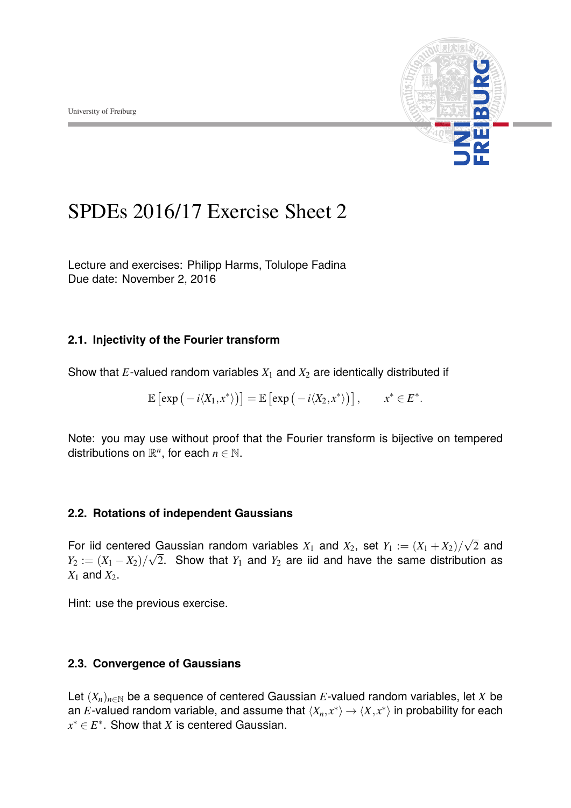

# SPDEs 2016/17 Exercise Sheet 2

Lecture and exercises: Philipp Harms, Tolulope Fadina Due date: November 2, 2016

# **2.1. Injectivity of the Fourier transform**

Show that  $E$ -valued random variables  $X_1$  and  $X_2$  are identically distributed if

$$
\mathbb{E}\left[\exp\left(-i\langle X_1,x^*\rangle\right)\right]=\mathbb{E}\left[\exp\left(-i\langle X_2,x^*\rangle\right)\right],\qquad x^*\in E^*.
$$

Note: you may use without proof that the Fourier transform is bijective on tempered distributions on  $\mathbb{R}^n$ , for each  $n \in \mathbb{N}$ .

### **2.2. Rotations of independent Gaussians**

For iid centered Gaussian random variables  $X_1$  and  $X_2$ , set  $Y_1 := (X_1 + X_2)/\sqrt{2}$  and  $Y_2 := (X_1 - X_2)/\sqrt{2}$ . Show that  $Y_1$  and  $Y_2$  are iid and have the same distribution as  $X_1$  and  $X_2$ .

Hint: use the previous exercise.

### **2.3. Convergence of Gaussians**

Let  $(X_n)_{n\in\mathbb{N}}$  be a sequence of centered Gaussian  $E$ -valued random variables, let  $X$  be an *E*-valued random variable, and assume that  $\langle X_n, x^* \rangle \to \langle X, x^* \rangle$  in probability for each  $x^* \in E^*$ . Show that *X* is centered Gaussian.